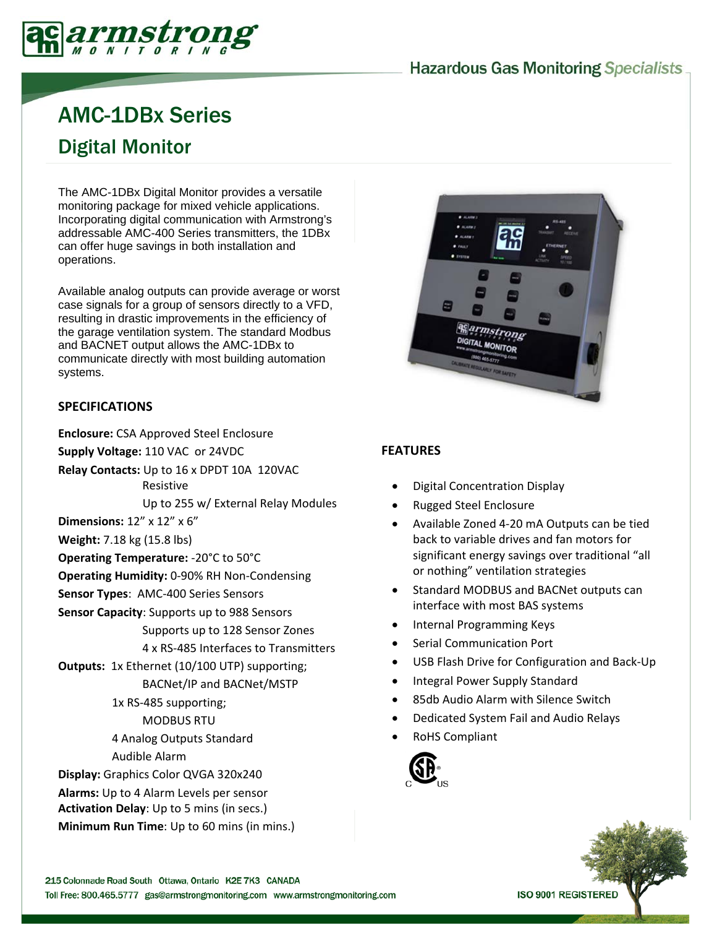# **Hazardous Gas Monitoring Specialists.**



# AMC-1DBx Series Digital Monitor

The AMC-1DBx Digital Monitor provides a versatile monitoring package for mixed vehicle applications. Incorporating digital communication with Armstrong's addressable AMC-400 Series transmitters, the 1DBx can offer huge savings in both installation and operations.

Available analog outputs can provide average or worst case signals for a group of sensors directly to a VFD, resulting in drastic improvements in the efficiency of the garage ventilation system. The standard Modbus and BACNET output allows the AMC-1DBx to communicate directly with most building automation systems.

#### **SPECIFICATIONS**

**Enclosure:** CSA Approved Steel Enclosure

**Supply Voltage:** 110 VAC or 24VDC

**Relay Contacts:** Up to 16 x DPDT 10A 120VAC Resistive

Up to 255 w/ External Relay Modules

**Dimensions:** 12" x 12" x 6"

**Weight:** 7.18 kg (15.8 lbs)

**Operating Temperature:** ‐20°C to 50°C

**Operating Humidity:** 0‐90% RH Non‐Condensing

**Sensor Types**: AMC‐400 Series Sensors

**Sensor Capacity**: Supports up to 988 Sensors

Supports up to 128 Sensor Zones 4 x RS‐485 Interfaces to Transmitters

**Outputs:** 1x Ethernet (10/100 UTP) supporting; BACNet/IP and BACNet/MSTP

> 1x RS‐485 supporting; MODBUS RTU

4 Analog Outputs Standard

Audible Alarm

**Display:** Graphics Color QVGA 320x240 **Alarms:** Up to 4 Alarm Levels per sensor **Activation Delay**: Up to 5 mins (in secs.) **Minimum Run Time**: Up to 60 mins (in mins.)



#### **FEATURES**

- Digital Concentration Display
- Rugged Steel Enclosure
- Available Zoned 4‐20 mA Outputs can be tied back to variable drives and fan motors for significant energy savings over traditional "all or nothing" ventilation strategies
- Standard MODBUS and BACNet outputs can interface with most BAS systems
- Internal Programming Keys
- Serial Communication Port
- USB Flash Drive for Configuration and Back‐Up
- Integral Power Supply Standard
- 85db Audio Alarm with Silence Switch
- Dedicated System Fail and Audio Relays
- RoHS Compliant